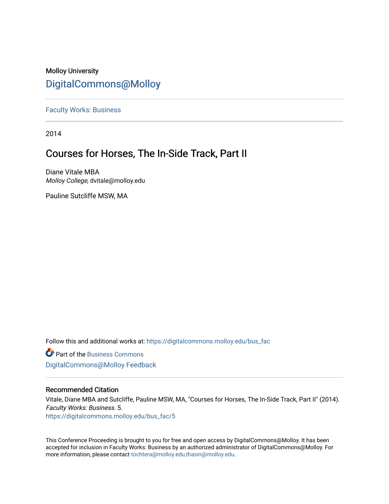# Molloy University [DigitalCommons@Molloy](https://digitalcommons.molloy.edu/)

[Faculty Works: Business](https://digitalcommons.molloy.edu/bus_fac) 

2014

# Courses for Horses, The In-Side Track, Part II

Diane Vitale MBA Molloy College, dvitale@molloy.edu

Pauline Sutcliffe MSW, MA

Follow this and additional works at: [https://digitalcommons.molloy.edu/bus\\_fac](https://digitalcommons.molloy.edu/bus_fac?utm_source=digitalcommons.molloy.edu%2Fbus_fac%2F5&utm_medium=PDF&utm_campaign=PDFCoverPages)

**C** Part of the [Business Commons](https://network.bepress.com/hgg/discipline/622?utm_source=digitalcommons.molloy.edu%2Fbus_fac%2F5&utm_medium=PDF&utm_campaign=PDFCoverPages) [DigitalCommons@Molloy Feedback](https://molloy.libwizard.com/f/dcfeedback)

### Recommended Citation

Vitale, Diane MBA and Sutcliffe, Pauline MSW, MA, "Courses for Horses, The In-Side Track, Part II" (2014). Faculty Works: Business. 5. [https://digitalcommons.molloy.edu/bus\\_fac/5](https://digitalcommons.molloy.edu/bus_fac/5?utm_source=digitalcommons.molloy.edu%2Fbus_fac%2F5&utm_medium=PDF&utm_campaign=PDFCoverPages)

This Conference Proceeding is brought to you for free and open access by DigitalCommons@Molloy. It has been accepted for inclusion in Faculty Works: Business by an authorized administrator of DigitalCommons@Molloy. For more information, please contact [tochtera@molloy.edu,thasin@molloy.edu.](mailto:tochtera@molloy.edu,thasin@molloy.edu)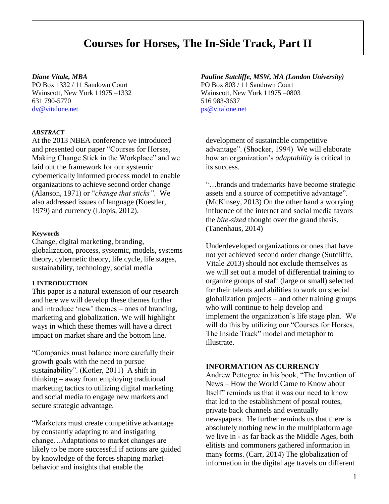# **Courses for Horses, The In-Side Track, Part II**

Wainscott, New York 11975 –1332 Wainscott, New York 11975 –0803 631 790-5770 516 983-3637 [dv@vitalone.net](mailto:dv@vitalone.net) [ps@vitalone.net](mailto:ps@vitalone.net)

#### *ABSTRACT*

At the 2013 NBEA conference we introduced and presented our paper "Courses for Horses, Making Change Stick in the Workplace" and we laid out the framework for our systemic cybernetically informed process model to enable organizations to achieve second order change (Alanson, 1971) or "*change that sticks"*. We also addressed issues of language (Koestler, 1979) and currency (Llopis, 2012).

#### **Keywords**

Change, digital marketing, branding, globalization, process, systemic, models, systems theory, cybernetic theory, life cycle, life stages, sustainability, technology, social media

#### **1 INTRODUCTION**

This paper is a natural extension of our research and here we will develop these themes further and introduce 'new' themes – ones of branding, marketing and globalization. We will highlight ways in which these themes will have a direct impact on market share and the bottom line.

"Companies must balance more carefully their growth goals with the need to pursue sustainability". (Kotler, 2011) A shift in thinking – away from employing traditional marketing tactics to utilizing digital marketing and social media to engage new markets and secure strategic advantage.

"Marketers must create competitive advantage by constantly adapting to and instigating change…Adaptations to market changes are likely to be more successful if actions are guided by knowledge of the forces shaping market behavior and insights that enable the

# *Diane Vitale, MBA Pauline Sutcliffe, MSW, MA (London University)* PO Box 1332 / 11 Sandown Court PO Box 803 / 11 Sandown Court

development of sustainable competitive advantage". (Shocker, 1994) We will elaborate how an organization's *adaptability* is critical to its success.

"…brands and trademarks have become strategic assets and a source of competitive advantage". (McKinsey, 2013) On the other hand a worrying influence of the internet and social media favors the *bite-sized* thought over the grand thesis. (Tanenhaus, 2014)

Underdeveloped organizations or ones that have not yet achieved second order change (Sutcliffe, Vitale 2013) should not exclude themselves as we will set out a model of differential training to organize groups of staff (large or small) selected for their talents and abilities to work on special globalization projects – and other training groups who will continue to help develop and implement the organization's life stage plan. We will do this by utilizing our "Courses for Horses, The Inside Track" model and metaphor to illustrate.

### **INFORMATION AS CURRENCY**

Andrew Pettegree in his book, "The Invention of News – How the World Came to Know about Itself" reminds us that it was our need to know that led to the establishment of postal routes, private back channels and eventually newspapers. He further reminds us that there is absolutely nothing new in the multiplatform age we live in - as far back as the Middle Ages, both elitists and commoners gathered information in many forms. (Carr, 2014) The globalization of information in the digital age travels on different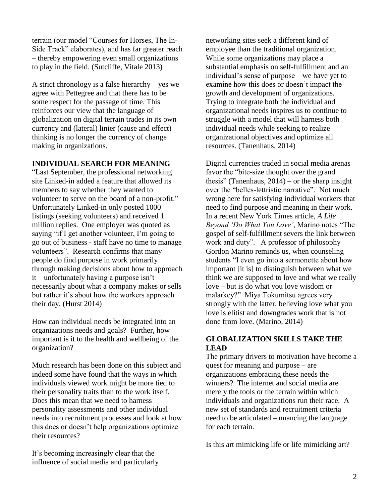terrain (our model "Courses for Horses, The In-Side Track" elaborates), and has far greater reach – thereby empowering even small organizations to play in the field. (Sutcliffe, Vitale 2013)

A strict chronology is a false hierarchy – yes we agree with Pettegree and that there has to be some respect for the passage of time. This reinforces our view that the language of globalization on digital terrain trades in its own currency and (lateral) linier (cause and effect) thinking is no longer the currency of change making in organizations.

## **INDIVIDUAL SEARCH FOR MEANING**

"Last September, the professional networking site Linked-in added a feature that allowed its members to say whether they wanted to volunteer to serve on the board of a non-profit." Unfortunately Linked-in only posted 1000 listings (seeking volunteers) and received 1 million replies. One employer was quoted as saying "if I get another volunteer, I'm going to go out of business - staff have no time to manage volunteers". Research confirms that many people do find purpose in work primarily through making decisions about how to approach it – unfortunately having a purpose isn't necessarily about what a company makes or sells but rather it's about how the workers approach their day. (Hurst 2014)

How can individual needs be integrated into an organizations needs and goals? Further, how important is it to the health and wellbeing of the organization?

Much research has been done on this subject and indeed some have found that the ways in which individuals viewed work might be more tied to their personality traits than to the work itself. Does this mean that we need to harness personality assessments and other individual needs into recruitment processes and look at how this does or doesn't help organizations optimize their resources?

It's becoming increasingly clear that the influence of social media and particularly networking sites seek a different kind of employee than the traditional organization. While some organizations may place a substantial emphasis on self-fulfillment and an individual's sense of purpose – we have yet to examine how this does or doesn't impact the growth and development of organizations. Trying to integrate both the individual and organizational needs inspires us to continue to struggle with a model that will harness both individual needs while seeking to realize organizational objectives and optimize all resources. (Tanenhaus, 2014)

Digital currencies traded in social media arenas favor the "bite-size thought over the grand thesis" (Tanenhaus, 2014) – or the sharp insight over the "belles-lettristic narrative". Not much wrong here for satisfying individual workers that need to find purpose and meaning in their work. In a recent New York Times article, *A Life Beyond 'Do What You Love'*, Marino notes "The gospel of self-fulfillment severs the link between work and duty". A professor of philosophy Gordon Marino reminds us, when counseling students "I even go into a sermonette about how important [it is] to distinguish between what we think we are supposed to love and what we really love – but is do what you love wisdom or malarkey?" Miya Tokumitsu agrees very strongly with the latter, believing love what you love is elitist and downgrades work that is not done from love. (Marino, 2014)

# **GLOBALIZATION SKILLS TAKE THE LEAD**

The primary drivers to motivation have become a quest for meaning and purpose – are organizations embracing these needs the winners? The internet and social media are merely the tools or the terrain within which individuals and organizations run their race. A new set of standards and recruitment criteria need to be articulated – nuancing the language for each terrain.

Is this art mimicking life or life mimicking art?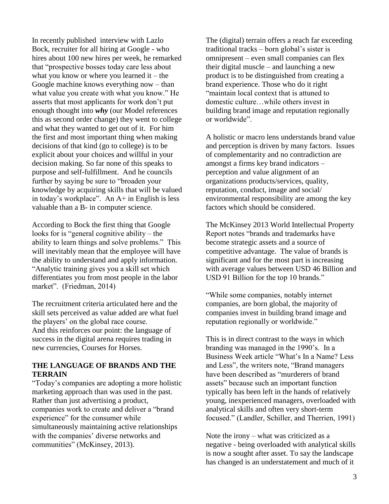In recently published interview with Lazlo Bock, recruiter for all hiring at Google - who hires about 100 new hires per week, he remarked that "prospective bosses today care less about what you know or where you learned  $it$  – the Google machine knows everything now – than what value you create with what you know." He asserts that most applicants for work don't put enough thought into *why* (our Model references this as second order change) they went to college and what they wanted to get out of it. For him the first and most important thing when making decisions of that kind (go to college) is to be explicit about your choices and willful in your decision making. So far none of this speaks to purpose and self-fulfillment. And he councils further by saying be sure to "broaden your knowledge by acquiring skills that will be valued in today's workplace". An A+ in English is less valuable than a B- in computer science.

According to Bock the first thing that Google looks for is "general cognitive ability – the ability to learn things and solve problems." This will inevitably mean that the employee will have the ability to understand and apply information. "Analytic training gives you a skill set which differentiates you from most people in the labor market". (Friedman, 2014)

The recruitment criteria articulated here and the skill sets perceived as value added are what fuel the players' on the global race course. And this reinforces our point: the language of success in the digital arena requires trading in new currencies, Courses for Horses.

# **THE LANGUAGE OF BRANDS AND THE TERRAIN**

"Today's companies are adopting a more holistic marketing approach than was used in the past. Rather than just advertising a product, companies work to create and deliver a "brand experience" for the consumer while simultaneously maintaining active relationships with the companies' diverse networks and communities" (McKinsey, 2013).

The (digital) terrain offers a reach far exceeding traditional tracks – born global's sister is omnipresent – even small companies can flex their digital muscle – and launching a new product is to be distinguished from creating a brand experience. Those who do it right "maintain local context that is attuned to domestic culture…while others invest in building brand image and reputation regionally or worldwide".

A holistic or macro lens understands brand value and perception is driven by many factors. Issues of complementarity and no contradiction are amongst a firms key brand indicators – perception and value alignment of an organizations products/services, quality, reputation, conduct, image and social/ environmental responsibility are among the key factors which should be considered.

The McKinsey 2013 World Intellectual Property Report notes "brands and trademarks have become strategic assets and a source of competitive advantage. The value of brands is significant and for the most part is increasing with average values between USD 46 Billion and USD 91 Billion for the top 10 brands."

"While some companies, notably internet companies, are born global, the majority of companies invest in building brand image and reputation regionally or worldwide."

This is in direct contrast to the ways in which branding was managed in the 1990's. In a Business Week article "What's In a Name? Less and Less", the writers note, "Brand managers have been described as "murderers of brand assets" because such an important function typically has been left in the hands of relatively young, inexperienced managers, overloaded with analytical skills and often very short-term focused." (Landler, Schiller, and Therrien, 1991)

Note the irony – what was criticized as a negative - being overloaded with analytical skills is now a sought after asset. To say the landscape has changed is an understatement and much of it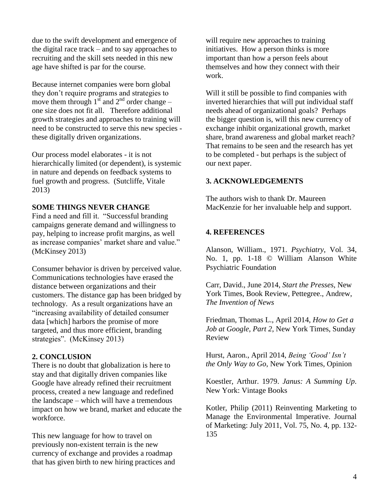due to the swift development and emergence of the digital race track – and to say approaches to recruiting and the skill sets needed in this new age have shifted is par for the course.

Because internet companies were born global they don't require programs and strategies to move them through  $1<sup>st</sup>$  and  $2<sup>nd</sup>$  order change – one size does not fit all. Therefore additional growth strategies and approaches to training will need to be constructed to serve this new species these digitally driven organizations.

Our process model elaborates - it is not hierarchically limited (or dependent), is systemic in nature and depends on feedback systems to fuel growth and progress. (Sutcliffe, Vitale 2013)

## **SOME THINGS NEVER CHANGE**

Find a need and fill it. "Successful branding campaigns generate demand and willingness to pay, helping to increase profit margins, as well as increase companies' market share and value." (McKinsey 2013)

Consumer behavior is driven by perceived value. Communications technologies have erased the distance between organizations and their customers. The distance gap has been bridged by technology. As a result organizations have an "increasing availability of detailed consumer data [which] harbors the promise of more targeted, and thus more efficient, branding strategies". (McKinsey 2013)

# **2. CONCLUSION**

There is no doubt that globalization is here to stay and that digitally driven companies like Google have already refined their recruitment process, created a new language and redefined the landscape – which will have a tremendous impact on how we brand, market and educate the workforce.

This new language for how to travel on previously non-existent terrain is the new currency of exchange and provides a roadmap that has given birth to new hiring practices and will require new approaches to training initiatives. How a person thinks is more important than how a person feels about themselves and how they connect with their work.

Will it still be possible to find companies with inverted hierarchies that will put individual staff needs ahead of organizational goals? Perhaps the bigger question is, will this new currency of exchange inhibit organizational growth, market share, brand awareness and global market reach? That remains to be seen and the research has yet to be completed - but perhaps is the subject of our next paper.

## **3. ACKNOWLEDGEMENTS**

The authors wish to thank Dr. Maureen MacKenzie for her invaluable help and support.

## **4. REFERENCES**

Alanson, William., 1971. *Psychiatry*, Vol. 34, No. 1, pp. 1-18 © William Alanson White Psychiatric Foundation

Carr, David., June 2014, *Start the Presses*, New York Times, Book Review, Pettegree., Andrew, *The Invention of News*

Friedman, Thomas L., April 2014, *How to Get a Job at Google, Part 2*, New York Times, Sunday Review

Hurst, Aaron., April 2014, *Being 'Good' Isn't the Only Way to Go*, New York Times, Opinion

Koestler, Arthur. 1979. *Janus: A Summing Up*. New York: Vintage Books

Kotler, Philip (2011) Reinventing Marketing to Manage the Environmental Imperative. Journal of Marketing: July 2011, Vol. 75, No. 4, pp. 132- 135